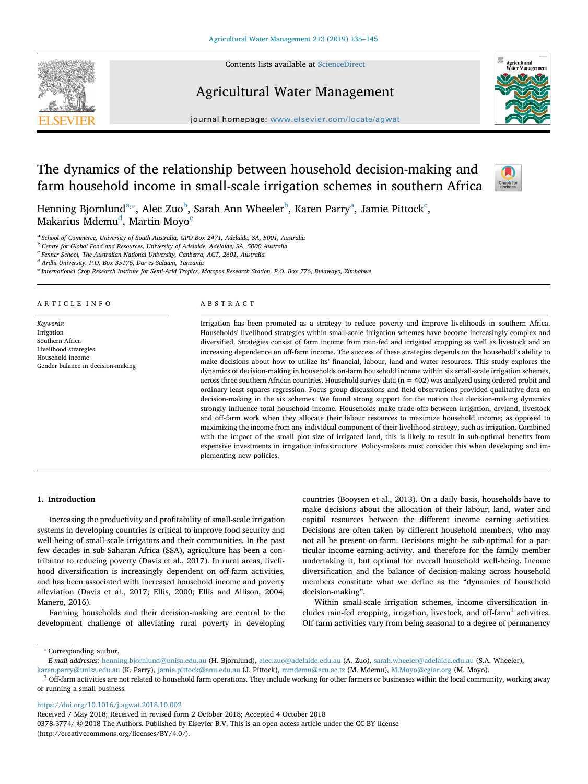Contents lists available at [ScienceDirect](http://www.sciencedirect.com/science/journal/03783774)



# Agricultural Water Management



journal homepage: [www.elsevier.com/locate/agwat](https://www.elsevier.com/locate/agwat)

# The dynamics of the relationship between household decision-making and farm household income in small-scale irrigation schemes in southern Africa



Henning Bjornlund $^{\rm a, *},$  $^{\rm a, *},$  $^{\rm a, *},$  Ale[c](#page-0-3) Zuo $^{\rm b}$  $^{\rm b}$  $^{\rm b}$ , Sarah Ann Wheeler $^{\rm b}$ , Karen Parry $^{\rm a}$ , Jamie Pittock $^{\rm c}$ , Makarius M[d](#page-0-4)[e](#page-0-5)mu<sup>d</sup>, Martin Moyo<sup>e</sup>

<span id="page-0-0"></span><sup>a</sup> *School of Commerce, University of South Australia, GPO Box 2471, Adelaide, SA, 5001, Australia*

<span id="page-0-2"></span><sup>b</sup> *Centre for Global Food and Resources, University of Adelaide, Adelaide, SA, 5000 Australia*

<span id="page-0-3"></span>c *Fenner School, The Australian National University, Canberra, ACT, 2601, Australia*

<span id="page-0-4"></span><sup>d</sup>*Ardhi University, P.O. Box 35176, Dar es Salaam, Tanzania*

<span id="page-0-5"></span><sup>e</sup> *International Crop Research Institute for Semi-Arid Tropics, Matopos Research Station, P.O. Box 776, Bulawayo, Zimbabwe*

# ARTICLE INFO

*Keywords:* Irrigation Southern Africa Livelihood strategies Household income Gender balance in decision-making

# ABSTRACT

Irrigation has been promoted as a strategy to reduce poverty and improve livelihoods in southern Africa. Households' livelihood strategies within small-scale irrigation schemes have become increasingly complex and diversified. Strategies consist of farm income from rain-fed and irrigated cropping as well as livestock and an increasing dependence on off-farm income. The success of these strategies depends on the household's ability to make decisions about how to utilize its' financial, labour, land and water resources. This study explores the dynamics of decision-making in households on-farm household income within six small-scale irrigation schemes, across three southern African countries. Household survey data  $(n = 402)$  was analyzed using ordered probit and ordinary least squares regression. Focus group discussions and field observations provided qualitative data on decision-making in the six schemes. We found strong support for the notion that decision-making dynamics strongly influence total household income. Households make trade-offs between irrigation, dryland, livestock and off-farm work when they allocate their labour resources to maximize household income; as opposed to maximizing the income from any individual component of their livelihood strategy, such as irrigation. Combined with the impact of the small plot size of irrigated land, this is likely to result in sub-optimal benefits from expensive investments in irrigation infrastructure. Policy-makers must consider this when developing and implementing new policies.

# **1. Introduction**

Increasing the productivity and profitability of small-scale irrigation systems in developing countries is critical to improve food security and well-being of small-scale irrigators and their communities. In the past few decades in sub-Saharan Africa (SSA), agriculture has been a contributor to reducing poverty (Davis et al., 2017). In rural areas, livelihood diversification is increasingly dependent on off-farm activities, and has been associated with increased household income and poverty alleviation (Davis et al., 2017; Ellis, 2000; Ellis and Allison, 2004; Manero, 2016).

Farming households and their decision-making are central to the development challenge of alleviating rural poverty in developing countries (Booysen et al., 2013). On a daily basis, households have to make decisions about the allocation of their labour, land, water and capital resources between the different income earning activities. Decisions are often taken by different household members, who may not all be present on-farm. Decisions might be sub-optimal for a particular income earning activity, and therefore for the family member undertaking it, but optimal for overall household well-being. Income diversification and the balance of decision-making across household members constitute what we define as the "dynamics of household decision-making".

Within small-scale irrigation schemes, income diversification in-cludes rain-fed cropping, irrigation, livestock, and off-farm<sup>[1](#page-0-6)</sup> activities. Off-farm activities vary from being seasonal to a degree of permanency

<https://doi.org/10.1016/j.agwat.2018.10.002>

<span id="page-0-1"></span><sup>⁎</sup> Corresponding author.

*E-mail addresses:* [henning.bjornlund@unisa.edu.au](mailto:henning.bjornlund@unisa.edu.au) (H. Bjornlund), [alec.zuo@adelaide.edu.au](mailto:alec.zuo@adelaide.edu.au) (A. Zuo), [sarah.wheeler@adelaide.edu.au](mailto:sarah.wheeler@adelaide.edu.au) (S.A. Wheeler), karen.parry@unisa.edu.au (K. Parry), jamie.pittock@anu.edu.au (J. Pittock)

<span id="page-0-6"></span>

<sup>&</sup>lt;sup>1</sup> Off-farm activities are not related to household farm operations. They include working for other farmers or businesses within the local community, working away or running a small business.

Received 7 May 2018; Received in revised form 2 October 2018; Accepted 4 October 2018

<sup>0378-3774/ © 2018</sup> The Authors. Published by Elsevier B.V. This is an open access article under the CC BY license (http://creativecommons.org/licenses/BY/4.0/).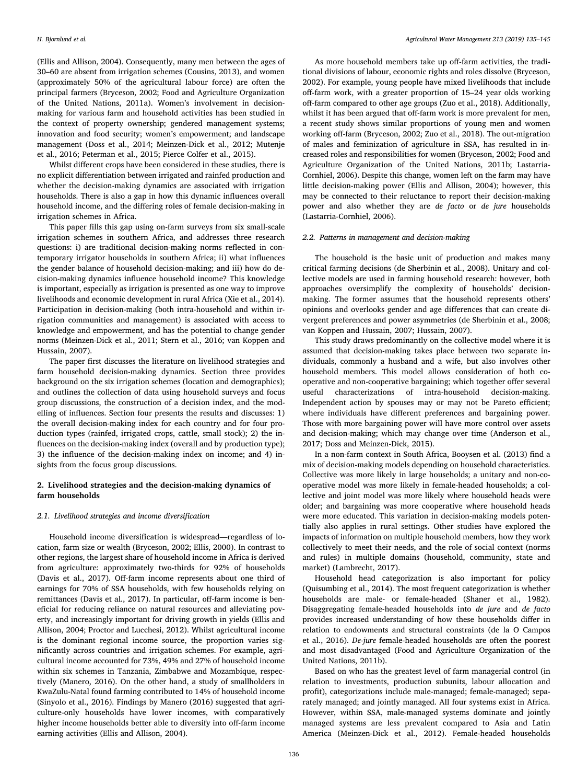(Ellis and Allison, 2004). Consequently, many men between the ages of 30–60 are absent from irrigation schemes (Cousins, 2013), and women (approximately 50% of the agricultural labour force) are often the principal farmers (Bryceson, 2002; Food and Agriculture Organization of the United Nations, 2011a). Women's involvement in decisionmaking for various farm and household activities has been studied in the context of property ownership; gendered management systems; innovation and food security; women's empowerment; and landscape management (Doss et al., 2014; Meinzen-Dick et al., 2012; Mutenje et al., 2016; Peterman et al., 2015; Pierce Colfer et al., 2015).

Whilst different crops have been considered in these studies, there is no explicit differentiation between irrigated and rainfed production and whether the decision-making dynamics are associated with irrigation households. There is also a gap in how this dynamic influences overall household income, and the differing roles of female decision-making in irrigation schemes in Africa.

This paper fills this gap using on-farm surveys from six small-scale irrigation schemes in southern Africa, and addresses three research questions: i) are traditional decision-making norms reflected in contemporary irrigator households in southern Africa; ii) what influences the gender balance of household decision-making; and iii) how do decision-making dynamics influence household income? This knowledge is important, especially as irrigation is presented as one way to improve livelihoods and economic development in rural Africa (Xie et al., 2014). Participation in decision-making (both intra-household and within irrigation communities and management) is associated with access to knowledge and empowerment, and has the potential to change gender norms (Meinzen-Dick et al., 2011; Stern et al., 2016; van Koppen and Hussain, 2007).

The paper first discusses the literature on livelihood strategies and farm household decision-making dynamics. Section three provides background on the six irrigation schemes (location and demographics); and outlines the collection of data using household surveys and focus group discussions, the construction of a decision index, and the modelling of influences. Section four presents the results and discusses: 1) the overall decision-making index for each country and for four production types (rainfed, irrigated crops, cattle, small stock); 2) the influences on the decision-making index (overall and by production type); 3) the influence of the decision-making index on income; and 4) insights from the focus group discussions.

# **2. Livelihood strategies and the decision-making dynamics of farm households**

# *2.1. Livelihood strategies and income diversification*

Household income diversification is widespread—regardless of location, farm size or wealth (Bryceson, 2002; Ellis, 2000). In contrast to other regions, the largest share of household income in Africa is derived from agriculture: approximately two-thirds for 92% of households (Davis et al., 2017). Off-farm income represents about one third of earnings for 70% of SSA households, with few households relying on remittances (Davis et al., 2017). In particular, off-farm income is beneficial for reducing reliance on natural resources and alleviating poverty, and increasingly important for driving growth in yields (Ellis and Allison, 2004; Proctor and Lucchesi, 2012). Whilst agricultural income is the dominant regional income source, the proportion varies significantly across countries and irrigation schemes. For example, agricultural income accounted for 73%, 49% and 27% of household income within six schemes in Tanzania, Zimbabwe and Mozambique, respectively (Manero, 2016). On the other hand, a study of smallholders in KwaZulu-Natal found farming contributed to 14% of household income (Sinyolo et al., 2016). Findings by Manero (2016) suggested that agriculture-only households have lower incomes, with comparatively higher income households better able to diversify into off-farm income earning activities (Ellis and Allison, 2004).

As more household members take up off-farm activities, the traditional divisions of labour, economic rights and roles dissolve (Bryceson, 2002). For example, young people have mixed livelihoods that include off-farm work, with a greater proportion of 15–24 year olds working off-farm compared to other age groups (Zuo et al., 2018). Additionally, whilst it has been argued that off-farm work is more prevalent for men, a recent study shows similar proportions of young men and women working off-farm (Bryceson, 2002; Zuo et al., 2018). The out-migration of males and feminization of agriculture in SSA, has resulted in increased roles and responsibilities for women (Bryceson, 2002; Food and Agriculture Organization of the United Nations, 2011b; Lastarria-Cornhiel, 2006). Despite this change, women left on the farm may have little decision-making power (Ellis and Allison, 2004); however, this may be connected to their reluctance to report their decision-making power and also whether they are *de facto* or *de jure* households (Lastarria-Cornhiel, 2006).

# *2.2. Patterns in management and decision-making*

The household is the basic unit of production and makes many critical farming decisions (de Sherbinin et al., 2008). Unitary and collective models are used in farming household research: however, both approaches oversimplify the complexity of households' decisionmaking. The former assumes that the household represents others' opinions and overlooks gender and age differences that can create divergent preferences and power asymmetries (de Sherbinin et al., 2008; van Koppen and Hussain, 2007; Hussain, 2007).

This study draws predominantly on the collective model where it is assumed that decision-making takes place between two separate individuals, commonly a husband and a wife, but also involves other household members. This model allows consideration of both cooperative and non-cooperative bargaining; which together offer several useful characterizations of intra-household decision-making. Independent action by spouses may or may not be Pareto efficient; where individuals have different preferences and bargaining power. Those with more bargaining power will have more control over assets and decision-making; which may change over time (Anderson et al., 2017; Doss and Meinzen-Dick, 2015).

In a non-farm context in South Africa, Booysen et al. (2013) find a mix of decision-making models depending on household characteristics. Collective was more likely in large households; a unitary and non-cooperative model was more likely in female-headed households; a collective and joint model was more likely where household heads were older; and bargaining was more cooperative where household heads were more educated. This variation in decision-making models potentially also applies in rural settings. Other studies have explored the impacts of information on multiple household members, how they work collectively to meet their needs, and the role of social context (norms and rules) in multiple domains (household, community, state and market) (Lambrecht, 2017).

Household head categorization is also important for policy (Quisumbing et al., 2014). The most frequent categorization is whether households are male- or female-headed (Shaner et al., 1982). Disaggregating female-headed households into *de jure* and *de facto* provides increased understanding of how these households differ in relation to endowments and structural constraints (de la O Campos et al., 2016). *De-jure* female-headed households are often the poorest and most disadvantaged (Food and Agriculture Organization of the United Nations, 2011b).

Based on who has the greatest level of farm managerial control (in relation to investments, production subunits, labour allocation and profit), categorizations include male-managed; female-managed; separately managed; and jointly managed. All four systems exist in Africa. However, within SSA, male-managed systems dominate and jointly managed systems are less prevalent compared to Asia and Latin America (Meinzen-Dick et al., 2012). Female-headed households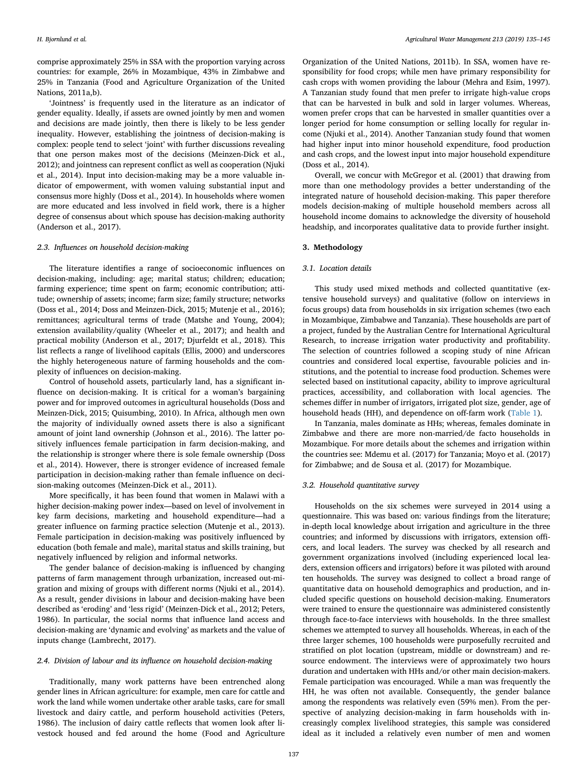comprise approximately 25% in SSA with the proportion varying across countries: for example, 26% in Mozambique, 43% in Zimbabwe and 25% in Tanzania (Food and Agriculture Organization of the United Nations, 2011a,b).

'Jointness' is frequently used in the literature as an indicator of gender equality. Ideally, if assets are owned jointly by men and women and decisions are made jointly, then there is likely to be less gender inequality. However, establishing the jointness of decision-making is complex: people tend to select 'joint' with further discussions revealing that one person makes most of the decisions (Meinzen-Dick et al., 2012); and jointness can represent conflict as well as cooperation (Njuki et al., 2014). Input into decision-making may be a more valuable indicator of empowerment, with women valuing substantial input and consensus more highly (Doss et al., 2014). In households where women are more educated and less involved in field work, there is a higher degree of consensus about which spouse has decision-making authority (Anderson et al., 2017).

#### *2.3. Influences on household decision-making*

The literature identifies a range of socioeconomic influences on decision-making, including: age; marital status; children; education; farming experience; time spent on farm; economic contribution; attitude; ownership of assets; income; farm size; family structure; networks (Doss et al., 2014; Doss and Meinzen-Dick, 2015; Mutenje et al., 2016); remittances; agricultural terms of trade (Matshe and Young, 2004); extension availability/quality (Wheeler et al., 2017); and health and practical mobility (Anderson et al., 2017; Djurfeldt et al., 2018). This list reflects a range of livelihood capitals (Ellis, 2000) and underscores the highly heterogeneous nature of farming households and the complexity of influences on decision-making.

Control of household assets, particularly land, has a significant influence on decision-making. It is critical for a woman's bargaining power and for improved outcomes in agricultural households (Doss and Meinzen-Dick, 2015; Quisumbing, 2010). In Africa, although men own the majority of individually owned assets there is also a significant amount of joint land ownership (Johnson et al., 2016). The latter positively influences female participation in farm decision-making, and the relationship is stronger where there is sole female ownership (Doss et al., 2014). However, there is stronger evidence of increased female participation in decision-making rather than female influence on decision-making outcomes (Meinzen-Dick et al., 2011).

More specifically, it has been found that women in Malawi with a higher decision-making power index—based on level of involvement in key farm decisions, marketing and household expenditure—had a greater influence on farming practice selection (Mutenje et al., 2013). Female participation in decision-making was positively influenced by education (both female and male), marital status and skills training, but negatively influenced by religion and informal networks.

The gender balance of decision-making is influenced by changing patterns of farm management through urbanization, increased out-migration and mixing of groups with different norms (Njuki et al., 2014). As a result, gender divisions in labour and decision-making have been described as 'eroding' and 'less rigid' (Meinzen-Dick et al., 2012; Peters, 1986). In particular, the social norms that influence land access and decision-making are 'dynamic and evolving' as markets and the value of inputs change (Lambrecht, 2017).

# *2.4. Division of labour and its influence on household decision-making*

Traditionally, many work patterns have been entrenched along gender lines in African agriculture: for example, men care for cattle and work the land while women undertake other arable tasks, care for small livestock and dairy cattle, and perform household activities (Peters, 1986). The inclusion of dairy cattle reflects that women look after livestock housed and fed around the home (Food and Agriculture

Organization of the United Nations, 2011b). In SSA, women have responsibility for food crops; while men have primary responsibility for cash crops with women providing the labour (Mehra and Esim, 1997). A Tanzanian study found that men prefer to irrigate high-value crops that can be harvested in bulk and sold in larger volumes. Whereas, women prefer crops that can be harvested in smaller quantities over a longer period for home consumption or selling locally for regular income (Njuki et al., 2014). Another Tanzanian study found that women had higher input into minor household expenditure, food production and cash crops, and the lowest input into major household expenditure (Doss et al., 2014).

Overall, we concur with McGregor et al. (2001) that drawing from more than one methodology provides a better understanding of the integrated nature of household decision-making. This paper therefore models decision-making of multiple household members across all household income domains to acknowledge the diversity of household headship, and incorporates qualitative data to provide further insight.

#### **3. Methodology**

#### *3.1. Location details*

This study used mixed methods and collected quantitative (extensive household surveys) and qualitative (follow on interviews in focus groups) data from households in six irrigation schemes (two each in Mozambique, Zimbabwe and Tanzania). These households are part of a project, funded by the Australian Centre for International Agricultural Research, to increase irrigation water productivity and profitability. The selection of countries followed a scoping study of nine African countries and considered local expertise, favourable policies and institutions, and the potential to increase food production. Schemes were selected based on institutional capacity, ability to improve agricultural practices, accessibility, and collaboration with local agencies. The schemes differ in number of irrigators, irrigated plot size, gender, age of household heads (HH), and dependence on off-farm work ([Table 1](#page-3-0)).

In Tanzania, males dominate as HHs; whereas, females dominate in Zimbabwe and there are more non-married/de facto households in Mozambique. For more details about the schemes and irrigation within the countries see: Mdemu et al. (2017) for Tanzania; Moyo et al. (2017) for Zimbabwe; and de Sousa et al. (2017) for Mozambique.

#### *3.2. Household quantitative survey*

Households on the six schemes were surveyed in 2014 using a questionnaire. This was based on: various findings from the literature; in-depth local knowledge about irrigation and agriculture in the three countries; and informed by discussions with irrigators, extension officers, and local leaders. The survey was checked by all research and government organizations involved (including experienced local leaders, extension officers and irrigators) before it was piloted with around ten households. The survey was designed to collect a broad range of quantitative data on household demographics and production, and included specific questions on household decision-making. Enumerators were trained to ensure the questionnaire was administered consistently through face-to-face interviews with households. In the three smallest schemes we attempted to survey all households. Whereas, in each of the three larger schemes, 100 households were purposefully recruited and stratified on plot location (upstream, middle or downstream) and resource endowment. The interviews were of approximately two hours duration and undertaken with HHs and/or other main decision-makers. Female participation was encouraged. While a man was frequently the HH, he was often not available. Consequently, the gender balance among the respondents was relatively even (59% men). From the perspective of analyzing decision-making in farm households with increasingly complex livelihood strategies, this sample was considered ideal as it included a relatively even number of men and women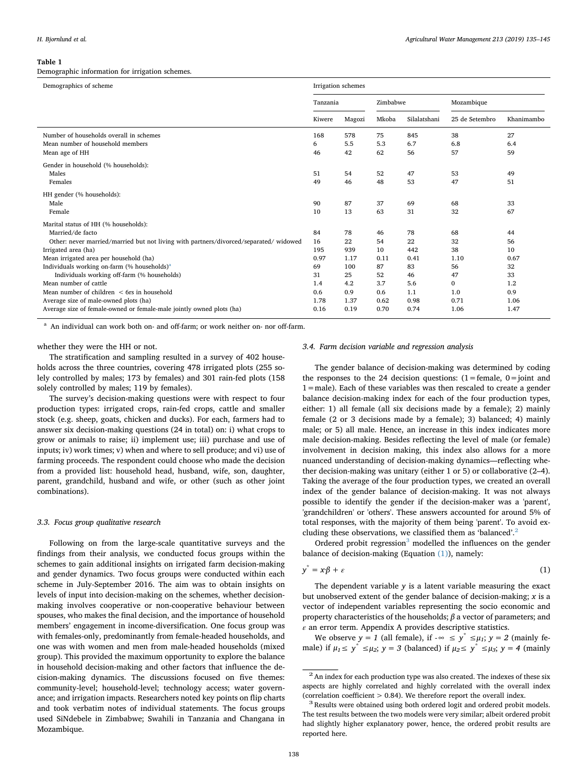#### <span id="page-3-0"></span>**Table 1**

Demographic information for irrigation schemes.

| Demographics of scheme                                                               |        | Irrigation schemes |          |              |                |            |  |  |
|--------------------------------------------------------------------------------------|--------|--------------------|----------|--------------|----------------|------------|--|--|
|                                                                                      |        | Tanzania           | Zimbabwe |              | Mozambique     |            |  |  |
|                                                                                      | Kiwere | Magozi             | Mkoba    | Silalatshani | 25 de Setembro | Khanimambo |  |  |
| Number of households overall in schemes                                              | 168    | 578                | 75       | 845          | 38             | 27         |  |  |
| Mean number of household members                                                     | 6      | 5.5                | 5.3      | 6.7          | 6.8            | 6.4        |  |  |
| Mean age of HH                                                                       | 46     | 42                 | 62       | 56           | 57             | 59         |  |  |
| Gender in household (% households):                                                  |        |                    |          |              |                |            |  |  |
| Males                                                                                | 51     | 54                 | 52       | 47           | 53             | 49         |  |  |
| Females                                                                              | 49     | 46                 | 48       | 53           | 47             | 51         |  |  |
| HH gender (% households):                                                            |        |                    |          |              |                |            |  |  |
| Male                                                                                 | 90     | 87                 | 37       | 69           | 68             | 33         |  |  |
| Female                                                                               | 10     | 13                 | 63       | 31           | 32             | 67         |  |  |
| Marital status of HH (% households):                                                 |        |                    |          |              |                |            |  |  |
| Married/de facto                                                                     | 84     | 78                 | 46       | 78           | 68             | 44         |  |  |
| Other: never married/married but not living with partners/divorced/separated/widowed | 16     | 22                 | 54       | 22           | 32             | 56         |  |  |
| Irrigated area (ha)                                                                  | 195    | 939                | 10       | 442          | 38             | 10         |  |  |
| Mean irrigated area per household (ha)                                               | 0.97   | 1.17               | 0.11     | 0.41         | 1.10           | 0.67       |  |  |
| Individuals working on-farm (% households) <sup>a</sup>                              | 69     | 100                | 87       | 83           | 56             | 32         |  |  |
| Individuals working off-farm (% households)                                          | 31     | 25                 | 52       | 46           | 47             | 33         |  |  |
| Mean number of cattle                                                                | 1.4    | 4.2                | 3.7      | 5.6          | $\mathbf{0}$   | 1.2        |  |  |
| Mean number of children $\leq$ 6rs in household                                      | 0.6    | 0.9                | 0.6      | 1.1          | 1.0            | 0.9        |  |  |
| Average size of male-owned plots (ha)                                                | 1.78   | 1.37               | 0.62     | 0.98         | 0.71           | 1.06       |  |  |
| Average size of female-owned or female-male jointly owned plots (ha)                 | 0.16   | 0.19               | 0.70     | 0.74         | 1.06           | 1.47       |  |  |

<span id="page-3-4"></span><sup>a</sup> An individual can work both on- and off-farm; or work neither on- nor off-farm.

whether they were the HH or not.

The stratification and sampling resulted in a survey of 402 households across the three countries, covering 478 irrigated plots (255 solely controlled by males; 173 by females) and 301 rain-fed plots (158 solely controlled by males; 119 by females).

The survey's decision-making questions were with respect to four production types: irrigated crops, rain-fed crops, cattle and smaller stock (e.g. sheep, goats, chicken and ducks). For each, farmers had to answer six decision-making questions (24 in total) on: i) what crops to grow or animals to raise; ii) implement use; iii) purchase and use of inputs; iv) work times; v) when and where to sell produce; and vi) use of farming proceeds. The respondent could choose who made the decision from a provided list: household head, husband, wife, son, daughter, parent, grandchild, husband and wife, or other (such as other joint combinations).

# *3.3. Focus group qualitative research*

Following on from the large-scale quantitative surveys and the findings from their analysis, we conducted focus groups within the schemes to gain additional insights on irrigated farm decision-making and gender dynamics. Two focus groups were conducted within each scheme in July-September 2016. The aim was to obtain insights on levels of input into decision-making on the schemes, whether decisionmaking involves cooperative or non-cooperative behaviour between spouses, who makes the final decision, and the importance of household members' engagement in income-diversification. One focus group was with females-only, predominantly from female-headed households, and one was with women and men from male-headed households (mixed group). This provided the maximum opportunity to explore the balance in household decision-making and other factors that influence the decision-making dynamics. The discussions focused on five themes: community-level; household-level; technology access; water governance; and irrigation impacts. Researchers noted key points on flip charts and took verbatim notes of individual statements. The focus groups used SiNdebele in Zimbabwe; Swahili in Tanzania and Changana in Mozambique.

#### *3.4. Farm decision variable and regression analysis*

The gender balance of decision-making was determined by coding the responses to the 24 decision questions:  $(1 =$  female,  $0 =$  joint and 1=male). Each of these variables was then rescaled to create a gender balance decision-making index for each of the four production types, either: 1) all female (all six decisions made by a female); 2) mainly female (2 or 3 decisions made by a female); 3) balanced; 4) mainly male; or 5) all male. Hence, an increase in this index indicates more male decision-making. Besides reflecting the level of male (or female) involvement in decision making, this index also allows for a more nuanced understanding of decision-making dynamics—reflecting whether decision-making was unitary (either 1 or 5) or collaborative (2–4). Taking the average of the four production types, we created an overall index of the gender balance of decision-making. It was not always possible to identify the gender if the decision-maker was a 'parent', 'grandchildren' or 'others'. These answers accounted for around 5% of total responses, with the majority of them being 'parent'. To avoid ex-cluding these observations, we classified them as 'balanced'.<sup>[2](#page-3-1)</sup>

Ordered probit regression<sup>[3](#page-3-2)</sup> modelled the influences on the gender balance of decision-making (Equation [\(1\)\)](#page-3-3), namely:

<span id="page-3-3"></span>
$$
y^* = x\beta + \varepsilon \tag{1}
$$

The dependent variable *y* is a latent variable measuring the exact but unobserved extent of the gender balance of decision-making; *x* is a vector of independent variables representing the socio economic and property characteristics of the households; *β* a vector of parameters; and  $\epsilon$  an error term. Appendix A provides descriptive statistics.

We observe  $y = 1$  (all female), if  $-\infty \le y^* \le \mu_1$ ;  $y = 2$  (mainly female) if  $\mu_1 \le y^* \le \mu_2$ ;  $y = 3$  (balanced) if  $\mu_2 \le y^* \le \mu_3$ ;  $y = 4$  (mainly

<span id="page-3-1"></span> $2$  An index for each production type was also created. The indexes of these six aspects are highly correlated and highly correlated with the overall index (correlation coefficient > 0.84). We therefore report the overall index.

<span id="page-3-2"></span><sup>&</sup>lt;sup>3</sup> Results were obtained using both ordered logit and ordered probit models. The test results between the two models were very similar; albeit ordered probit had slightly higher explanatory power, hence, the ordered probit results are reported here.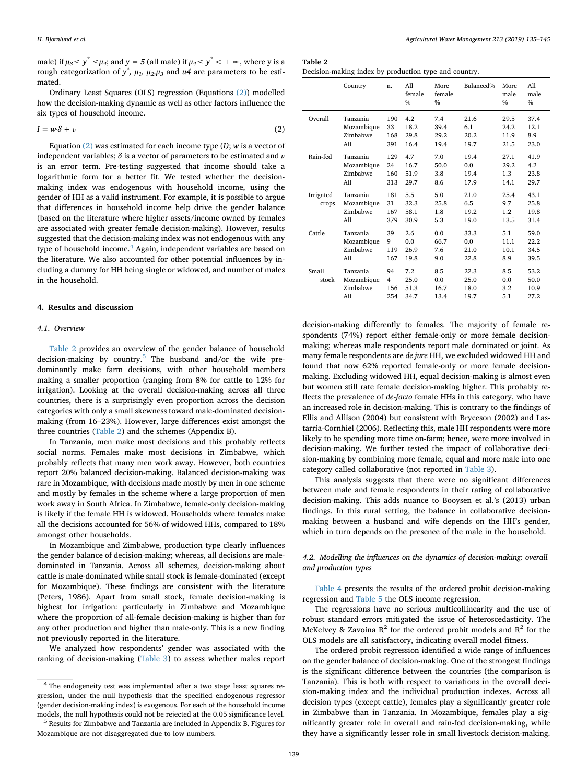male) if  $\mu_3 \le y^* \le \mu_4$ ; and  $y = 5$  (all male) if  $\mu_4 \le y^* < +\infty$ , where y is a rough categorization of  $y^*$ ,  $\mu_1$ ,  $\mu_2$ , $\mu_3$  and  $u4$  are parameters to be estimated.

Ordinary Least Squares (OLS) regression (Equations [\(2\)\)](#page-4-0) modelled how the decision-making dynamic as well as other factors influence the six types of household income.

<span id="page-4-0"></span>
$$
I = w\delta + \nu \tag{2}
$$

Equation [\(2\)](#page-4-0) was estimated for each income type (*I)*; *w* is a vector of independent variables; *δ* is a vector of parameters to be estimated and *ν* is an error term. Pre-testing suggested that income should take a logarithmic form for a better fit. We tested whether the decisionmaking index was endogenous with household income, using the gender of HH as a valid instrument. For example, it is possible to argue that differences in household income help drive the gender balance (based on the literature where higher assets/income owned by females are associated with greater female decision-making). However, results suggested that the decision-making index was not endogenous with any type of household income.<sup>[4](#page-4-1)</sup> Again, independent variables are based on the literature. We also accounted for other potential influences by including a dummy for HH being single or widowed, and number of males in the household.

## **4. Results and discussion**

#### *4.1. Overview*

[Table 2](#page-4-2) provides an overview of the gender balance of household decision-making by country.<sup>5</sup> The husband and/or the wife predominantly make farm decisions, with other household members making a smaller proportion (ranging from 8% for cattle to 12% for irrigation). Looking at the overall decision-making across all three countries, there is a surprisingly even proportion across the decision categories with only a small skewness toward male-dominated decisionmaking (from 16–23%). However, large differences exist amongst the three countries ([Table 2](#page-4-2)) and the schemes (Appendix B).

In Tanzania, men make most decisions and this probably reflects social norms. Females make most decisions in Zimbabwe, which probably reflects that many men work away. However, both countries report 20% balanced decision-making. Balanced decision-making was rare in Mozambique, with decisions made mostly by men in one scheme and mostly by females in the scheme where a large proportion of men work away in South Africa. In Zimbabwe, female-only decision-making is likely if the female HH is widowed. Households where females make all the decisions accounted for 56% of widowed HHs, compared to 18% amongst other households.

In Mozambique and Zimbabwe, production type clearly influences the gender balance of decision-making; whereas, all decisions are maledominated in Tanzania. Across all schemes, decision-making about cattle is male-dominated while small stock is female-dominated (except for Mozambique). These findings are consistent with the literature (Peters, 1986). Apart from small stock, female decision-making is highest for irrigation: particularly in Zimbabwe and Mozambique where the proportion of all-female decision-making is higher than for any other production and higher than male-only. This is a new finding not previously reported in the literature.

We analyzed how respondents' gender was associated with the ranking of decision-making ([Table 3\)](#page-5-0) to assess whether males report

<span id="page-4-2"></span>

| Table 2                                               |
|-------------------------------------------------------|
| Decision-making index by production type and country. |

|                    | Country                                   | n.                      | All<br>female<br>$\frac{0}{0}$ | More<br>female<br>$\%$     | Balanced%                    | <b>More</b><br>male<br>$\%$ | All<br>male<br>$\frac{0}{0}$ |
|--------------------|-------------------------------------------|-------------------------|--------------------------------|----------------------------|------------------------------|-----------------------------|------------------------------|
| Overall            | Tanzania                                  | 190                     | 4.2                            | 7.4                        | 21.6                         | 29.5                        | 37.4                         |
|                    | Mozambique                                | 33                      | 18.2                           | 39.4                       | 6.1                          | 24.2                        | 12.1                         |
|                    | Zimbabwe                                  | 168                     | 29.8                           | 29.2                       | 20.2                         | 11.9                        | 8.9                          |
|                    | All                                       | 391                     | 16.4                           | 19.4                       | 19.7                         | 21.5                        | 23.0                         |
| Rain-fed           | Tanzania                                  | 129                     | 4.7                            | 7.0                        | 19.4                         | 27.1                        | 41.9                         |
|                    | Mozambique                                | 24                      | 16.7                           | 50.0                       | 0.0                          | 29.2                        | 4.2                          |
|                    | Zimbabwe                                  | 160                     | 51.9                           | 3.8                        | 19.4                         | 1.3                         | 23.8                         |
|                    | All                                       | 313                     | 29.7                           | 8.6                        | 17.9                         | 14.1                        | 29.7                         |
| Irrigated<br>crops | Tanzania<br>Mozambique<br>Zimbabwe<br>A11 | 181<br>31<br>167<br>379 | 5.5<br>32.3<br>58.1<br>30.9    | 5.0<br>25.8<br>1.8<br>5.3  | 21.0<br>6.5<br>19.2<br>19.0  | 25.4<br>9.7<br>1.2<br>13.5  | 43.1<br>25.8<br>19.8<br>31.4 |
| Cattle             | Tanzania                                  | 39                      | 2.6                            | 0.0                        | 33.3                         | 5.1                         | 59.0                         |
|                    | Mozambique                                | 9                       | 0.0                            | 66.7                       | 0.0                          | 11.1                        | 22.2                         |
|                    | Zimbabwe                                  | 119                     | 26.9                           | 7.6                        | 21.0                         | 10.1                        | 34.5                         |
|                    | All                                       | 167                     | 19.8                           | 9.0                        | 22.8                         | 8.9                         | 39.5                         |
| Small<br>stock     | Tanzania<br>Mozambique<br>Zimbabwe<br>A11 | 94<br>4<br>156<br>254   | 7.2<br>25.0<br>51.3<br>34.7    | 8.5<br>0.0<br>16.7<br>13.4 | 22.3<br>25.0<br>18.0<br>19.7 | 8.5<br>0.0<br>3.2<br>5.1    | 53.2<br>50.0<br>10.9<br>27.2 |

decision-making differently to females. The majority of female respondents (74%) report either female-only or more female decisionmaking; whereas male respondents report male dominated or joint. As many female respondents are *de jure* HH, we excluded widowed HH and found that now 62% reported female-only or more female decisionmaking. Excluding widowed HH, equal decision-making is almost even but women still rate female decision-making higher. This probably reflects the prevalence of *de-facto* female HHs in this category, who have an increased role in decision-making. This is contrary to the findings of Ellis and Allison (2004) but consistent with Bryceson (2002) and Lastarria-Cornhiel (2006). Reflecting this, male HH respondents were more likely to be spending more time on-farm; hence, were more involved in decision-making. We further tested the impact of collaborative decision-making by combining more female, equal and more male into one category called collaborative (not reported in [Table 3\)](#page-5-0).

This analysis suggests that there were no significant differences between male and female respondents in their rating of collaborative decision-making. This adds nuance to Booysen et al.'s (2013) urban findings. In this rural setting, the balance in collaborative decisionmaking between a husband and wife depends on the HH's gender, which in turn depends on the presence of the male in the household.

# *4.2. Modelling the influences on the dynamics of decision-making: overall and production types*

[Table 4](#page-5-1) presents the results of the ordered probit decision-making regression and [Table 5](#page-6-0) the OLS income regression.

The regressions have no serious multicollinearity and the use of robust standard errors mitigated the issue of heteroscedasticity. The McKelvey & Zavoina  $R^2$  for the ordered probit models and  $R^2$  for the OLS models are all satisfactory, indicating overall model fitness.

The ordered probit regression identified a wide range of influences on the gender balance of decision-making. One of the strongest findings is the significant difference between the countries (the comparison is Tanzania). This is both with respect to variations in the overall decision-making index and the individual production indexes. Across all decision types (except cattle), females play a significantly greater role in Zimbabwe than in Tanzania. In Mozambique, females play a significantly greater role in overall and rain-fed decision-making, while they have a significantly lesser role in small livestock decision-making.

<span id="page-4-1"></span><sup>4</sup> The endogeneity test was implemented after a two stage least squares regression, under the null hypothesis that the specified endogenous regressor (gender decision-making index) is exogenous. For each of the household income models, the null hypothesis could not be rejected at the 0.05 significance level. <sup>5</sup> Results for Zimbabwe and Tanzania are included in Appendix B. Figures for

<span id="page-4-3"></span>Mozambique are not disaggregated due to low numbers.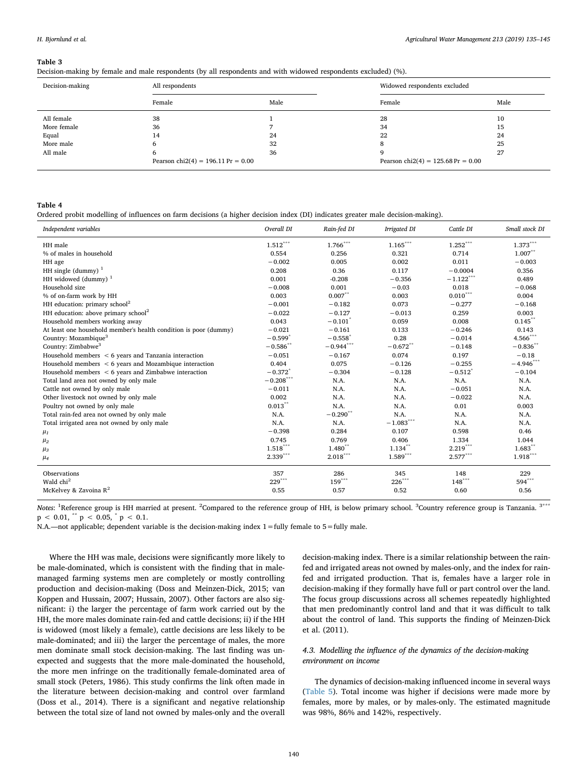#### <span id="page-5-0"></span>**Table 3**

Decision-making by female and male respondents (by all respondents and with widowed respondents excluded) (%).

| Decision-making | All respondents                       |      | Widowed respondents excluded          |      |  |
|-----------------|---------------------------------------|------|---------------------------------------|------|--|
|                 | Female                                | Male | Female                                | Male |  |
| All female      | 38                                    |      | 28                                    | 10   |  |
| More female     | 36                                    |      | 34                                    | 15   |  |
| Equal           | 14                                    | 24   | 22                                    | 24   |  |
| More male       | h                                     | 32   | 8                                     | 25   |  |
| All male        | <sub>n</sub>                          | 36   | q                                     | 27   |  |
|                 | Pearson chi $2(4) = 196.11$ Pr = 0.00 |      | Pearson chi $2(4) = 125.68$ Pr = 0.00 |      |  |

<span id="page-5-1"></span>**Table 4**

Ordered probit modelling of influences on farm decisions (a higher decision index (DI) indicates greater male decision-making).

| Independent variables                                            | Overall DI                       | Rain-fed DI            | Irrigated DI       | Cattle DI                        | Small stock DI         |
|------------------------------------------------------------------|----------------------------------|------------------------|--------------------|----------------------------------|------------------------|
| HH male                                                          | $1.512***$                       | $1.766***$             | $1.165***$         | $1.252***$                       | $1.373***$             |
| % of males in household                                          | 0.554                            | 0.256                  | 0.321              | 0.714                            | $1.007**$              |
| HH age                                                           | $-0.002$                         | 0.005                  | 0.002              | 0.011                            | $-0.003$               |
| HH single (dummy) $1$                                            | 0.208                            | 0.36                   | 0.117              | $-0.0004$                        | 0.356                  |
| HH widowed (dummy) $1$                                           | 0.001                            | $-0.208$               | $-0.356$           | $-1.122$ ***                     | 0.489                  |
| Household size                                                   | $-0.008$                         | 0.001                  | $-0.03$            | 0.018                            | $-0.068$               |
| % of on-farm work by HH                                          | 0.003                            | $0.007***$             | 0.003              | $0.010^{\ast\ast\ast}$           | 0.004                  |
| HH education: primary school <sup>2</sup>                        | $-0.001$                         | $-0.182$               | 0.073              | $-0.277$                         | $-0.168$               |
| HH education: above primary school <sup>2</sup>                  | $-0.022$                         | $-0.127$               | $-0.013$           | 0.259                            | 0.003                  |
| Household members working away                                   | 0.043                            | $-0.101$ <sup>*</sup>  | 0.059              | 0.008                            | 0.145                  |
| At least one household member's health condition is poor (dummy) | $-0.021$                         | $-0.161$               | 0.133              | $-0.246$                         | 0.143                  |
| Country: Mozambique <sup>3</sup>                                 | $-0.599$ <sup>*</sup>            | $-0.558$               | 0.28               | $-0.014$                         | $4.566^{\ast\ast\ast}$ |
| Country: Zimbabwe <sup>3</sup>                                   | $-0.586$                         | $-0.944$ ***           | $-0.672$ **        | $-0.148$                         | $-0.836^{*}$           |
| Household members < 6 years and Tanzania interaction             | $-0.051$                         | $-0.167$               | 0.074              | 0.197                            | $-0.18$                |
| Household members $\leq 6$ years and Mozambique interaction      | 0.404                            | 0.075                  | $-0.126$           | $-0.255$                         | $-4.946***$            |
| Household members $\leq 6$ years and Zimbabwe interaction        | $-0.372^{*}$                     | $-0.304$               | $-0.128$           | $-0.512^{*}$                     | $-0.104$               |
| Total land area not owned by only male                           | $-0.208$ $\hspace{-1.5mm}^{***}$ | N.A.                   | N.A.               | N.A.                             | N.A.                   |
| Cattle not owned by only male                                    | $-0.011$                         | N.A.                   | N.A.               | $-0.051$                         | N.A.                   |
| Other livestock not owned by only male                           | 0.002                            | N.A.                   | N.A.               | $-0.022$                         | N.A.                   |
| Poultry not owned by only male                                   | $0.013***$                       | N.A.                   | N.A.               | 0.01                             | 0.003                  |
| Total rain-fed area not owned by only male                       | N.A.                             | $-0.290$ **            | N.A.               | N.A.                             | N.A.                   |
| Total irrigated area not owned by only male                      | N.A.                             | N.A.                   | $-1.083***$        | N.A.                             | N.A.                   |
| $\mu_1$                                                          | $-0.398$                         | 0.284                  | 0.107              | 0.598                            | 0.46                   |
| $\mu_2$                                                          | 0.745                            | 0.769                  | 0.406              | 1.334                            | 1.044                  |
| $\mu_3$                                                          | $1.518^{\ast\ast\ast}$           | $1.480**$              | $1.134^{\ast\ast}$ | $2.219^\ast{}^{\ast}{}^{\ast}{}$ | 1.683                  |
| $\mu_4$                                                          | $2.339***$                       | $2.018^{\ast\ast\ast}$ | $1.589***$         | $2.577***$                       | $1.918***$             |
| Observations                                                     | 357                              | 286                    | 345                | 148                              | 229                    |
| Wald chi <sup>2</sup>                                            | $229***$                         | $159^{\ast\ast\ast}$   | $226***$           | $148***$                         | 594***                 |
| McKelvey & Zavoina $R^2$                                         | 0.55                             | 0.57                   | 0.52               | 0.60                             | 0.56                   |

Notes: <sup>1</sup>Reference group is HH married at present. <sup>2</sup>Compared to the reference group of HH, is below primary school. <sup>3</sup>Country reference group is Tanzania. <sup>3\*\*\*</sup>  $p < 0.01$ , \*\*  $p < 0.05$ , \*  $p < 0.1$ .

N.A.—not applicable; dependent variable is the decision-making index 1 = fully female to 5 = fully male.

Where the HH was male, decisions were significantly more likely to be male-dominated, which is consistent with the finding that in malemanaged farming systems men are completely or mostly controlling production and decision-making (Doss and Meinzen-Dick, 2015; van Koppen and Hussain, 2007; Hussain, 2007). Other factors are also significant: i) the larger the percentage of farm work carried out by the HH, the more males dominate rain-fed and cattle decisions; ii) if the HH is widowed (most likely a female), cattle decisions are less likely to be male-dominated; and iii) the larger the percentage of males, the more men dominate small stock decision-making. The last finding was unexpected and suggests that the more male-dominated the household, the more men infringe on the traditionally female-dominated area of small stock (Peters, 1986). This study confirms the link often made in the literature between decision-making and control over farmland (Doss et al., 2014). There is a significant and negative relationship between the total size of land not owned by males-only and the overall

decision-making index. There is a similar relationship between the rainfed and irrigated areas not owned by males-only, and the index for rainfed and irrigated production. That is, females have a larger role in decision-making if they formally have full or part control over the land. The focus group discussions across all schemes repeatedly highlighted that men predominantly control land and that it was difficult to talk about the control of land. This supports the finding of Meinzen-Dick et al. (2011).

# *4.3. Modelling the influence of the dynamics of the decision-making environment on income*

The dynamics of decision-making influenced income in several ways ([Table 5](#page-6-0)). Total income was higher if decisions were made more by females, more by males, or by males-only. The estimated magnitude was 98%, 86% and 142%, respectively.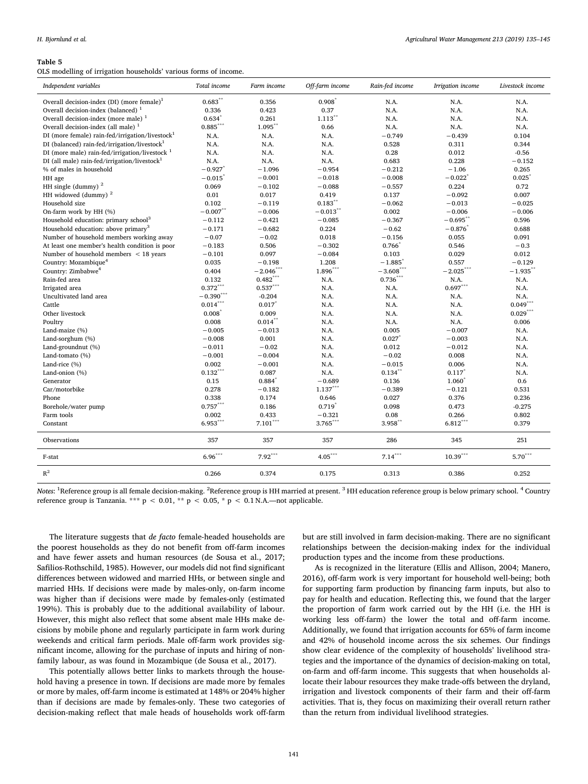#### <span id="page-6-0"></span>**Table 5**

OLS modelling of irrigation households' various forms of income.

| Independent variables                                       | Total income          | Farm income            | Off-farm income | Rain-fed income | Irrigation income      | Livestock income      |
|-------------------------------------------------------------|-----------------------|------------------------|-----------------|-----------------|------------------------|-----------------------|
| Overall decision-index (DI) (more female) $1$               | $0.683***$            | 0.356                  | $0.908^{*}$     | N.A.            | N.A.                   | N.A.                  |
| Overall decision-index (balanced) $1$                       | 0.336                 | 0.423                  | 0.37            | N.A.            | N.A.                   | N.A.                  |
| Overall decision-index (more male) $1$                      | $0.634^{*}$           | 0.261                  | 1.113           | N.A.            | N.A.                   | N.A.                  |
| Overall decision-index (all male) $1$                       | $0.885***$            | $1.095***$             | 0.66            | N.A.            | N.A.                   | N.A.                  |
| DI (more female) rain-fed/irrigation/livestock <sup>1</sup> | N.A.                  | N.A.                   | N.A.            | $-0.749$        | $-0.439$               | 0.104                 |
| DI (balanced) rain-fed/irrigation/livestock <sup>1</sup>    | N.A.                  | N.A.                   | N.A.            | 0.528           | 0.311                  | 0.344                 |
| DI (more male) rain-fed/irrigation/livestock $1$            | N.A.                  | N.A.                   | N.A.            | 0.28            | 0.012                  | $-0.56$               |
| DI (all male) rain-fed/irrigation/livestock <sup>1</sup>    | N.A.                  | N.A.                   | N.A.            | 0.683           | 0.228                  | $-0.152$              |
| % of males in household                                     | $-0.927$ <sup>*</sup> | $-1.096$               | $-0.954$        | $-0.212$        | $-1.06$                | 0.265                 |
| HH age                                                      | $-0.015$ <sup>*</sup> | $-0.001$               | $-0.018$        | $-0.008$        | $-0.022$ <sup>*</sup>  | $0.025^{*}$           |
| HH single (dummy) <sup>2</sup>                              | 0.069                 | $-0.102$               | $-0.088$        | $-0.557$        | 0.224                  | 0.72                  |
| HH widowed (dummy) $^2$                                     | 0.01                  | 0.017                  | 0.419           | 0.137           | $-0.092$               | 0.007                 |
| Household size                                              | 0.102                 | $-0.119$               | $0.183$ **      | $-0.062$        | $-0.013$               | $-0.025$              |
| On-farm work by HH (%)                                      | $-0.007***$           | $-0.006$               | $-0.013***$     | 0.002           | $-0.006$               | $-0.006$              |
| Household education: primary school <sup>3</sup>            | $-0.112$              | $-0.421$               | $-0.085$        | $-0.367$        | $-0.695$ **            | 0.596                 |
| Household education: above primary <sup>3</sup>             | $-0.171$              | $-0.682$               | 0.224           | $-0.62$         | $-0.876$               | 0.688                 |
| Number of household members working away                    | $-0.07$               | $-0.02$                | 0.018           | $-0.156$        | 0.055                  | 0.091                 |
| At least one member's health condition is poor              | $-0.183$              | 0.506                  | $-0.302$        | 0.766           | 0.546                  | $-0.3$                |
| Number of household members $\langle 18 \rangle$ years      | $-0.101$              | 0.097                  | $-0.084$        | 0.103           | 0.029                  | 0.012                 |
| Country: Mozambique <sup>4</sup>                            | 0.035                 | $-0.198$               | 1.208           | $-1.885$        | 0.557                  | $-0.129$              |
| Country: Zimbabwe <sup>4</sup>                              | 0.404                 | $-2.046***$            | $1.896***$      | $-3.608***$     | $-2.025***$            | $-1.935***$           |
| Rain-fed area                                               | 0.132                 | $0.482***$             | N.A.            | $0.736***$      | N.A.                   | N.A.                  |
| Irrigated area                                              | $0.372***$            | $0.537^{\ast\ast\ast}$ | N.A.            | N.A.            | $0.697***$             | N.A.                  |
| Uncultivated land area                                      | $-0.390$ ***          | $-0.204$               | N.A.            | N.A.            | N.A.                   | N.A.                  |
| Cattle                                                      | $0.014***$            | 0.017                  | N.A.            | N.A.            | N.A.                   | $0.049***$            |
| Other livestock                                             | $0.008^{*}$           | 0.009                  | N.A.            | N.A.            | N.A.                   | $0.029^{***}$         |
| Poultry                                                     | 0.008                 | $0.014***$             | N.A.            | N.A.            | N.A.                   | 0.006                 |
| Land-maize (%)                                              | $-0.005$              | $-0.013$               | N.A.            | 0.005           | $-0.007$               | N.A.                  |
| Land-sorghum (%)                                            | $-0.008$              | 0.001                  | N.A.            | 0.027           | $-0.003$               | N.A.                  |
| Land-groundnut (%)                                          | $-0.011$              | $-0.02$                | N.A.            | 0.012           | $-0.012$               | N.A.                  |
| Land-tomato (%)                                             | $-0.001$              | $-0.004$               | N.A.            | $-0.02$         | 0.008                  | N.A.                  |
| Land-rice (%)                                               | 0.002                 | $-0.001$               | N.A.            | $-0.015$        | 0.006                  | N.A.                  |
| Land-onion (%)                                              | $0.132***$            | 0.087                  | N.A.            | $0.134$ **      | 0.117                  | N.A.                  |
| Generator                                                   | 0.15                  | $0.884^{*}$            | $-0.689$        | 0.136           | $1.060*$               | 0.6                   |
| Car/motorbike                                               | 0.278                 | $-0.182$               | $1.137***$      | $-0.389$        | $-0.121$               | 0.531                 |
| Phone                                                       | 0.338                 | 0.174                  | 0.646           | 0.027           | 0.376                  | 0.236                 |
| Borehole/water pump                                         | $0.757***$            | 0.186                  | 0.719           | 0.098           | 0.473                  | $-0.275$              |
| Farm tools                                                  | 0.002                 | 0.433                  | $-0.321$        | 0.08            | 0.266                  | 0.802                 |
| Constant                                                    | $6.953***$            | $7.101***$             | $3.765***$      | 3.958           | $6.812***$             | 0.379                 |
| Observations                                                | 357                   | 357                    | 357             | 286             | 345                    | 251                   |
| F-stat                                                      | $6.96***$             | $7.92***$              | $4.05***$       | $7.14***$       | $10.39^{\ast\ast\ast}$ | $5.70^{\ast\ast\ast}$ |
| $\mathbb{R}^2$                                              | 0.266                 | 0.374                  | 0.175           | 0.313           | 0.386                  | 0.252                 |

*Notes*: <sup>1</sup>Reference group is all female decision-making. <sup>2</sup>Reference group is HH married at present. <sup>3</sup> HH education reference group is below primary school. <sup>4</sup> Country reference group is Tanzania. \*\*\*  $p$  < 0.01, \*\*  $p$  < 0.05, \*  $p$  < 0.1 N.A.—not applicable.

The literature suggests that *de facto* female-headed households are the poorest households as they do not benefit from off-farm incomes and have fewer assets and human resources (de Sousa et al., 2017; Safilios-Rothschild, 1985). However, our models did not find significant differences between widowed and married HHs, or between single and married HHs. If decisions were made by males-only, on-farm income was higher than if decisions were made by females-only (estimated 199%). This is probably due to the additional availability of labour. However, this might also reflect that some absent male HHs make decisions by mobile phone and regularly participate in farm work during weekends and critical farm periods. Male off-farm work provides significant income, allowing for the purchase of inputs and hiring of nonfamily labour, as was found in Mozambique (de Sousa et al., 2017).

This potentially allows better links to markets through the household having a presence in town. If decisions are made more by females or more by males, off-farm income is estimated at 148% or 204% higher than if decisions are made by females-only. These two categories of decision-making reflect that male heads of households work off-farm

but are still involved in farm decision-making. There are no significant relationships between the decision-making index for the individual production types and the income from these productions.

As is recognized in the literature (Ellis and Allison, 2004; Manero, 2016), off-farm work is very important for household well-being; both for supporting farm production by financing farm inputs, but also to pay for health and education. Reflecting this, we found that the larger the proportion of farm work carried out by the HH (i.e. the HH is working less off-farm) the lower the total and off-farm income. Additionally, we found that irrigation accounts for 65% of farm income and 42% of household income across the six schemes. Our findings show clear evidence of the complexity of households' livelihood strategies and the importance of the dynamics of decision-making on total, on-farm and off-farm income. This suggests that when households allocate their labour resources they make trade-offs between the dryland, irrigation and livestock components of their farm and their off-farm activities. That is, they focus on maximizing their overall return rather than the return from individual livelihood strategies.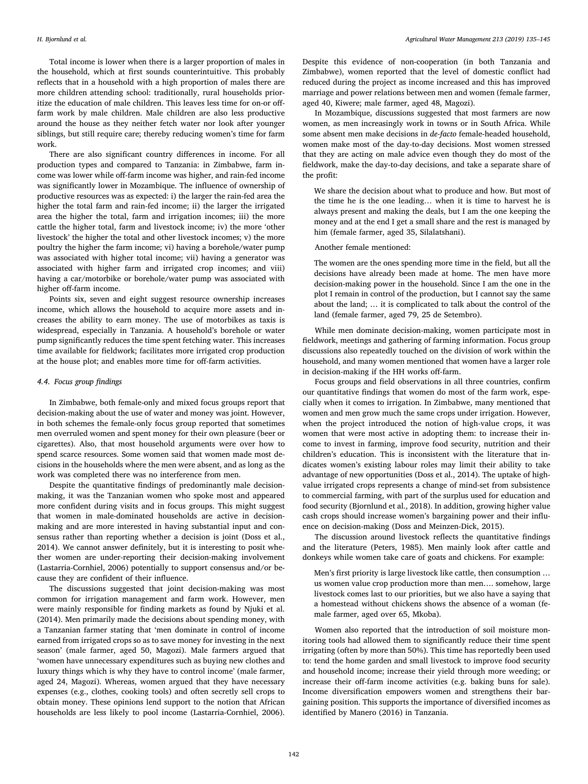Total income is lower when there is a larger proportion of males in the household, which at first sounds counterintuitive. This probably reflects that in a household with a high proportion of males there are more children attending school: traditionally, rural households prioritize the education of male children. This leaves less time for on-or offfarm work by male children. Male children are also less productive around the house as they neither fetch water nor look after younger siblings, but still require care; thereby reducing women's time for farm work.

There are also significant country differences in income. For all production types and compared to Tanzania: in Zimbabwe, farm income was lower while off-farm income was higher, and rain-fed income was significantly lower in Mozambique. The influence of ownership of productive resources was as expected: i) the larger the rain-fed area the higher the total farm and rain-fed income; ii) the larger the irrigated area the higher the total, farm and irrigation incomes; iii) the more cattle the higher total, farm and livestock income; iv) the more 'other livestock' the higher the total and other livestock incomes; v) the more poultry the higher the farm income; vi) having a borehole/water pump was associated with higher total income; vii) having a generator was associated with higher farm and irrigated crop incomes; and viii) having a car/motorbike or borehole/water pump was associated with higher off-farm income.

Points six, seven and eight suggest resource ownership increases income, which allows the household to acquire more assets and increases the ability to earn money. The use of motorbikes as taxis is widespread, especially in Tanzania. A household's borehole or water pump significantly reduces the time spent fetching water. This increases time available for fieldwork; facilitates more irrigated crop production at the house plot; and enables more time for off-farm activities.

# *4.4. Focus group findings*

In Zimbabwe, both female-only and mixed focus groups report that decision-making about the use of water and money was joint. However, in both schemes the female-only focus group reported that sometimes men overruled women and spent money for their own pleasure (beer or cigarettes). Also, that most household arguments were over how to spend scarce resources. Some women said that women made most decisions in the households where the men were absent, and as long as the work was completed there was no interference from men.

Despite the quantitative findings of predominantly male decisionmaking, it was the Tanzanian women who spoke most and appeared more confident during visits and in focus groups. This might suggest that women in male-dominated households are active in decisionmaking and are more interested in having substantial input and consensus rather than reporting whether a decision is joint (Doss et al., 2014). We cannot answer definitely, but it is interesting to posit whether women are under-reporting their decision-making involvement (Lastarria-Cornhiel, 2006) potentially to support consensus and/or because they are confident of their influence.

The discussions suggested that joint decision-making was most common for irrigation management and farm work. However, men were mainly responsible for finding markets as found by Njuki et al. (2014). Men primarily made the decisions about spending money, with a Tanzanian farmer stating that 'men dominate in control of income earned from irrigated crops so as to save money for investing in the next season' (male farmer, aged 50, Magozi). Male farmers argued that 'women have unnecessary expenditures such as buying new clothes and luxury things which is why they have to control income' (male farmer, aged 24, Magozi). Whereas, women argued that they have necessary expenses (e.g., clothes, cooking tools) and often secretly sell crops to obtain money. These opinions lend support to the notion that African households are less likely to pool income (Lastarria-Cornhiel, 2006).

Despite this evidence of non-cooperation (in both Tanzania and Zimbabwe), women reported that the level of domestic conflict had reduced during the project as income increased and this has improved marriage and power relations between men and women (female farmer, aged 40, Kiwere; male farmer, aged 48, Magozi).

In Mozambique, discussions suggested that most farmers are now women, as men increasingly work in towns or in South Africa. While some absent men make decisions in *de-facto* female-headed household, women make most of the day-to-day decisions. Most women stressed that they are acting on male advice even though they do most of the fieldwork, make the day-to-day decisions, and take a separate share of the profit:

We share the decision about what to produce and how. But most of the time he is the one leading… when it is time to harvest he is always present and making the deals, but I am the one keeping the money and at the end I get a small share and the rest is managed by him (female farmer, aged 35, Silalatshani).

Another female mentioned:

The women are the ones spending more time in the field, but all the decisions have already been made at home. The men have more decision-making power in the household. Since I am the one in the plot I remain in control of the production, but I cannot say the same about the land; … it is complicated to talk about the control of the land (female farmer, aged 79, 25 de Setembro).

While men dominate decision-making, women participate most in fieldwork, meetings and gathering of farming information. Focus group discussions also repeatedly touched on the division of work within the household, and many women mentioned that women have a larger role in decision-making if the HH works off-farm.

Focus groups and field observations in all three countries, confirm our quantitative findings that women do most of the farm work, especially when it comes to irrigation. In Zimbabwe, many mentioned that women and men grow much the same crops under irrigation. However, when the project introduced the notion of high-value crops, it was women that were most active in adopting them: to increase their income to invest in farming, improve food security, nutrition and their children's education. This is inconsistent with the literature that indicates women's existing labour roles may limit their ability to take advantage of new opportunities (Doss et al., 2014). The uptake of highvalue irrigated crops represents a change of mind-set from subsistence to commercial farming, with part of the surplus used for education and food security (Bjornlund et al., 2018). In addition, growing higher value cash crops should increase women's bargaining power and their influence on decision-making (Doss and Meinzen-Dick, 2015).

The discussion around livestock reflects the quantitative findings and the literature (Peters, 1985). Men mainly look after cattle and donkeys while women take care of goats and chickens. For example:

Men's first priority is large livestock like cattle, then consumption … us women value crop production more than men…. somehow, large livestock comes last to our priorities, but we also have a saying that a homestead without chickens shows the absence of a woman (female farmer, aged over 65, Mkoba).

Women also reported that the introduction of soil moisture monitoring tools had allowed them to significantly reduce their time spent irrigating (often by more than 50%). This time has reportedly been used to: tend the home garden and small livestock to improve food security and household income; increase their yield through more weeding; or increase their off-farm income activities (e.g. baking buns for sale). Income diversification empowers women and strengthens their bargaining position. This supports the importance of diversified incomes as identified by Manero (2016) in Tanzania.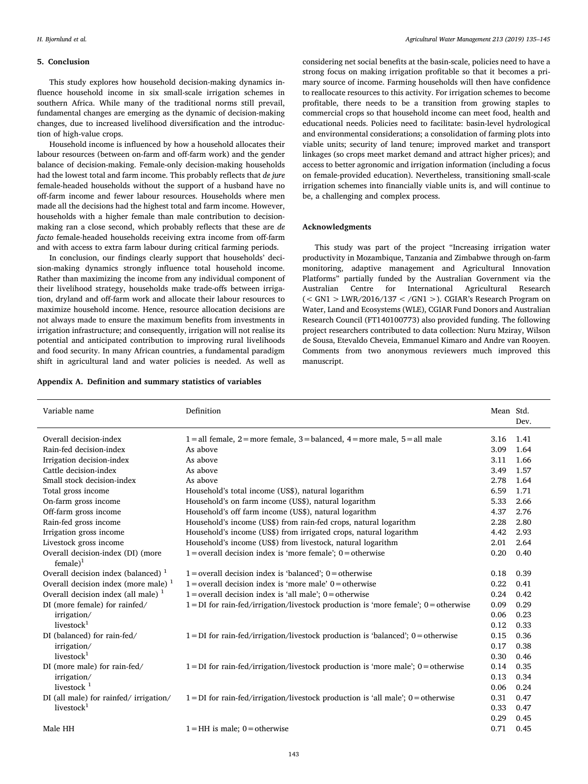#### **5. Conclusion**

This study explores how household decision-making dynamics influence household income in six small-scale irrigation schemes in southern Africa. While many of the traditional norms still prevail, fundamental changes are emerging as the dynamic of decision-making changes, due to increased livelihood diversification and the introduction of high-value crops.

Household income is influenced by how a household allocates their labour resources (between on-farm and off-farm work) and the gender balance of decision-making. Female-only decision-making households had the lowest total and farm income. This probably reflects that *de jure* female-headed households without the support of a husband have no off-farm income and fewer labour resources. Households where men made all the decisions had the highest total and farm income. However, households with a higher female than male contribution to decisionmaking ran a close second, which probably reflects that these are *de facto* female-headed households receiving extra income from off-farm and with access to extra farm labour during critical farming periods.

In conclusion, our findings clearly support that households' decision-making dynamics strongly influence total household income. Rather than maximizing the income from any individual component of their livelihood strategy, households make trade-offs between irrigation, dryland and off-farm work and allocate their labour resources to maximize household income. Hence, resource allocation decisions are not always made to ensure the maximum benefits from investments in irrigation infrastructure; and consequently, irrigation will not realise its potential and anticipated contribution to improving rural livelihoods and food security. In many African countries, a fundamental paradigm shift in agricultural land and water policies is needed. As well as

| Appendix A. Definition and summary statistics of variables |  |  |
|------------------------------------------------------------|--|--|
|------------------------------------------------------------|--|--|

considering net social benefits at the basin-scale, policies need to have a strong focus on making irrigation profitable so that it becomes a primary source of income. Farming households will then have confidence to reallocate resources to this activity. For irrigation schemes to become profitable, there needs to be a transition from growing staples to commercial crops so that household income can meet food, health and educational needs. Policies need to facilitate: basin-level hydrological and environmental considerations; a consolidation of farming plots into viable units; security of land tenure; improved market and transport linkages (so crops meet market demand and attract higher prices); and access to better agronomic and irrigation information (including a focus on female-provided education). Nevertheless, transitioning small-scale irrigation schemes into financially viable units is, and will continue to be, a challenging and complex process.

# **Acknowledgments**

This study was part of the project "Increasing irrigation water productivity in Mozambique, Tanzania and Zimbabwe through on-farm monitoring, adaptive management and Agricultural Innovation Platforms" partially funded by the Australian Government via the Australian Centre for International Agricultural Research (< GN1 > LWR/2016/137 < /GN1 >). CGIAR's Research Program on Water, Land and Ecosystems (WLE), CGIAR Fund Donors and Australian Research Council (FT140100773) also provided funding. The following project researchers contributed to data collection: Nuru Mziray, Wilson de Sousa, Etevaldo Cheveia, Emmanuel Kimaro and Andre van Rooyen. Comments from two anonymous reviewers much improved this manuscript.

| Variable name                                        | Definition                                                                            | Mean Std. | Dev. |
|------------------------------------------------------|---------------------------------------------------------------------------------------|-----------|------|
|                                                      |                                                                                       |           |      |
| Overall decision-index<br>Rain-fed decision-index    | $1 =$ all female, $2 =$ more female, $3 =$ balanced, $4 =$ more male, $5 =$ all male  | 3.16      | 1.41 |
|                                                      | As above                                                                              | 3.09      | 1.64 |
| Irrigation decision-index                            | As above                                                                              | 3.11      | 1.66 |
| Cattle decision-index                                | As above                                                                              | 3.49      | 1.57 |
| Small stock decision-index                           | As above                                                                              | 2.78      | 1.64 |
| Total gross income                                   | Household's total income (US\$), natural logarithm                                    | 6.59      | 1.71 |
| On-farm gross income                                 | Household's on farm income (US\$), natural logarithm                                  | 5.33      | 2.66 |
| Off-farm gross income                                | Household's off farm income (US\$), natural logarithm                                 | 4.37      | 2.76 |
| Rain-fed gross income                                | Household's income (US\$) from rain-fed crops, natural logarithm                      | 2.28      | 2.80 |
| Irrigation gross income                              | Household's income (US\$) from irrigated crops, natural logarithm                     | 4.42      | 2.93 |
| Livestock gross income                               | Household's income (US\$) from livestock, natural logarithm                           | 2.01      | 2.64 |
| Overall decision-index (DI) (more<br>$f$ emale $)^1$ | $1 =$ overall decision index is 'more female'; $0 =$ otherwise                        | 0.20      | 0.40 |
| Overall decision index (balanced) $1$                | $1$ = overall decision index is 'balanced'; 0 = otherwise                             | 0.18      | 0.39 |
| Overall decision index (more male) $1$               | $1 =$ overall decision index is 'more male' $0 =$ otherwise                           | 0.22      | 0.41 |
| Overall decision index (all male) $1$                | 1 = overall decision index is 'all male'; $0 =$ otherwise                             | 0.24      | 0.42 |
| DI (more female) for rainfed/                        | $1 = DI$ for rain-fed/irrigation/livestock production is 'more female'; 0 = otherwise | 0.09      | 0.29 |
| irrigation/                                          |                                                                                       | 0.06      | 0.23 |
| livestock $1$                                        |                                                                                       | 0.12      | 0.33 |
| DI (balanced) for rain-fed/                          | $1 = DI$ for rain-fed/irrigation/livestock production is 'balanced'; 0 = otherwise    | 0.15      | 0.36 |
| irrigation/                                          |                                                                                       | 0.17      | 0.38 |
| livestock $1$                                        |                                                                                       | 0.30      | 0.46 |
| DI (more male) for rain-fed/                         | $1 = DI$ for rain-fed/irrigation/livestock production is 'more male'; 0 = otherwise   | 0.14      | 0.35 |
| irrigation/                                          |                                                                                       | 0.13      | 0.34 |
| livestock $1$                                        |                                                                                       | 0.06      | 0.24 |
| DI (all male) for rainfed/irrigation/                | $1 = DI$ for rain-fed/irrigation/livestock production is 'all male'; 0 = otherwise    | 0.31      | 0.47 |
| livestock $1$                                        |                                                                                       | 0.33      | 0.47 |
|                                                      |                                                                                       | 0.29      | 0.45 |
| Male HH                                              | $1 = HH$ is male; 0 = otherwise                                                       | 0.71      | 0.45 |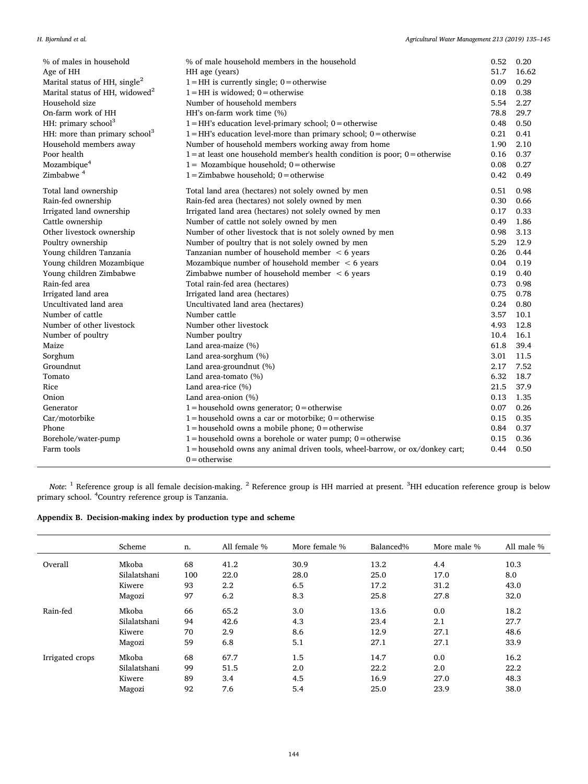| % of males in household                    | % of male household members in the household                                   | 0.52 | 0.20  |
|--------------------------------------------|--------------------------------------------------------------------------------|------|-------|
| Age of HH                                  | HH age (years)                                                                 | 51.7 | 16.62 |
| Marital status of HH, single <sup>2</sup>  | $1 = HH$ is currently single; 0 = otherwise                                    | 0.09 | 0.29  |
| Marital status of HH, widowed <sup>2</sup> | $1 = HH$ is widowed; $0 =$ otherwise                                           | 0.18 | 0.38  |
| Household size                             | Number of household members                                                    | 5.54 | 2.27  |
| On-farm work of HH                         | HH's on-farm work time (%)                                                     | 78.8 | 29.7  |
| HH: primary school <sup>3</sup>            | $1 = HH's$ education level-primary school; $0 =$ otherwise                     | 0.48 | 0.50  |
| HH: more than primary school <sup>3</sup>  | $1 = HH's$ education level-more than primary school; $0 =$ otherwise           | 0.21 | 0.41  |
| Household members away                     | Number of household members working away from home                             | 1.90 | 2.10  |
| Poor health                                | $1 =$ at least one household member's health condition is poor; 0 = otherwise  | 0.16 | 0.37  |
| Mozambique <sup>4</sup>                    | $1 =$ Mozambique household; $0 =$ otherwise                                    | 0.08 | 0.27  |
| Zimbabwe <sup>4</sup>                      | $1 =$ Zimbabwe household; $0 =$ otherwise                                      | 0.42 | 0.49  |
| Total land ownership                       | Total land area (hectares) not solely owned by men                             | 0.51 | 0.98  |
| Rain-fed ownership                         | Rain-fed area (hectares) not solely owned by men                               | 0.30 | 0.66  |
| Irrigated land ownership                   | Irrigated land area (hectares) not solely owned by men                         | 0.17 | 0.33  |
| Cattle ownership                           | Number of cattle not solely owned by men                                       | 0.49 | 1.86  |
| Other livestock ownership                  | Number of other livestock that is not solely owned by men                      | 0.98 | 3.13  |
| Poultry ownership                          | Number of poultry that is not solely owned by men                              | 5.29 | 12.9  |
| Young children Tanzania                    | Tanzanian number of household member $\leq 6$ years                            | 0.26 | 0.44  |
| Young children Mozambique                  | Mozambique number of household member $\leq 6$ years                           | 0.04 | 0.19  |
| Young children Zimbabwe                    | Zimbabwe number of household member $\leq 6$ years                             | 0.19 | 0.40  |
| Rain-fed area                              | Total rain-fed area (hectares)                                                 | 0.73 | 0.98  |
| Irrigated land area                        | Irrigated land area (hectares)                                                 | 0.75 | 0.78  |
| Uncultivated land area                     | Uncultivated land area (hectares)                                              | 0.24 | 0.80  |
| Number of cattle                           | Number cattle                                                                  | 3.57 | 10.1  |
| Number of other livestock                  | Number other livestock                                                         | 4.93 | 12.8  |
| Number of poultry                          | Number poultry                                                                 | 10.4 | 16.1  |
| Maize                                      | Land area-maize (%)                                                            | 61.8 | 39.4  |
| Sorghum                                    | Land area-sorghum (%)                                                          | 3.01 | 11.5  |
| Groundnut                                  | Land area-groundnut (%)                                                        | 2.17 | 7.52  |
| Tomato                                     | Land area-tomato (%)                                                           | 6.32 | 18.7  |
| Rice                                       | Land area-rice (%)                                                             | 21.5 | 37.9  |
| Onion                                      | Land area-onion (%)                                                            | 0.13 | 1.35  |
| Generator                                  | $1 =$ household owns generator; $0 =$ otherwise                                | 0.07 | 0.26  |
| Car/motorbike                              | 1 = household owns a car or motorbike; $0 =$ otherwise                         | 0.15 | 0.35  |
| Phone                                      | $1 =$ household owns a mobile phone; $0 =$ otherwise                           | 0.84 | 0.37  |
| Borehole/water-pump                        | 1 = household owns a borehole or water pump; $0 =$ otherwise                   | 0.15 | 0.36  |
| Farm tools                                 | $1 =$ household owns any animal driven tools, wheel-barrow, or ox/donkey cart; | 0.44 | 0.50  |
|                                            | $0 =$ otherwise                                                                |      |       |

*Note*: <sup>1</sup> Reference group is all female decision-making. <sup>2</sup> Reference group is HH married at present. <sup>3</sup>HH education reference group is below primary school. <sup>4</sup> Country reference group is Tanzania.

| Appendix B. Decision-making index by production type and scheme |  |  |  |
|-----------------------------------------------------------------|--|--|--|
|-----------------------------------------------------------------|--|--|--|

|                 | Scheme       | n.  | All female % | More female % | Balanced% | More male % | All male % |
|-----------------|--------------|-----|--------------|---------------|-----------|-------------|------------|
| Overall         | Mkoba        | 68  | 41.2         | 30.9          | 13.2      | 4.4         | 10.3       |
|                 | Silalatshani | 100 | 22.0         | 28.0          | 25.0      | 17.0        | 8.0        |
|                 | Kiwere       | 93  | $2.2\,$      | 6.5           | 17.2      | 31.2        | 43.0       |
|                 | Magozi       | 97  | 6.2          | 8.3           | 25.8      | 27.8        | 32.0       |
| Rain-fed        | Mkoba        | 66  | 65.2         | 3.0           | 13.6      | 0.0         | 18.2       |
|                 | Silalatshani | 94  | 42.6         | 4.3           | 23.4      | 2.1         | 27.7       |
|                 | Kiwere       | 70  | 2.9          | 8.6           | 12.9      | 27.1        | 48.6       |
|                 | Magozi       | 59  | 6.8          | 5.1           | 27.1      | 27.1        | 33.9       |
| Irrigated crops | Mkoba        | 68  | 67.7         | 1.5           | 14.7      | 0.0         | 16.2       |
|                 | Silalatshani | 99  | 51.5         | 2.0           | 22.2      | 2.0         | 22.2       |
|                 | Kiwere       | 89  | 3.4          | 4.5           | 16.9      | 27.0        | 48.3       |
|                 | Magozi       | 92  | 7.6          | 5.4           | 25.0      | 23.9        | 38.0       |